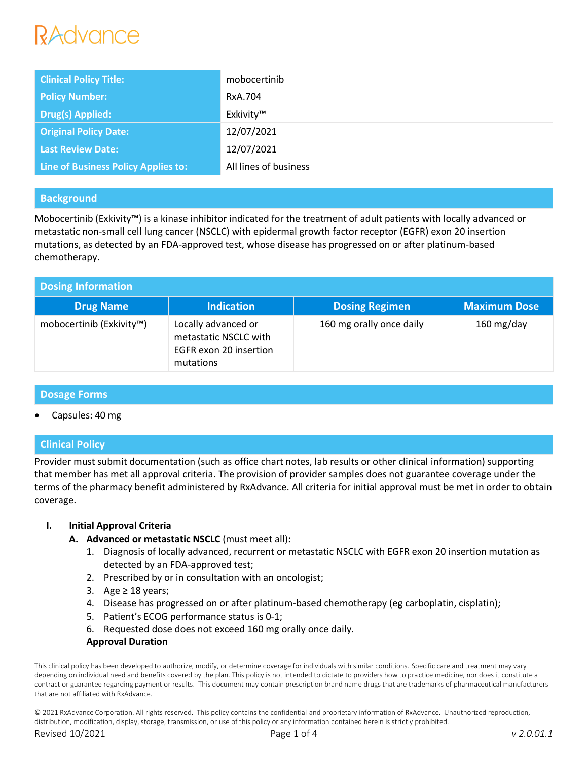# RAdvance

| <b>Clinical Policy Title:</b>       | mobocertinib          |
|-------------------------------------|-----------------------|
| <b>Policy Number:</b>               | RxA.704               |
| <b>Drug(s) Applied:</b>             | Exkivity™             |
| <b>Original Policy Date:</b>        | 12/07/2021            |
| <b>Last Review Date:</b>            | 12/07/2021            |
| Line of Business Policy Applies to: | All lines of business |

# **Background**

Mobocertinib (Exkivity™) is a kinase inhibitor indicated for the treatment of adult patients with locally advanced or metastatic non-small cell lung cancer (NSCLC) with epidermal growth factor receptor (EGFR) exon 20 insertion mutations, as detected by an FDA-approved test, whose disease has progressed on or after platinum-based chemotherapy.

| <b>Dosing Information</b> |                                                                                     |                          |                      |  |
|---------------------------|-------------------------------------------------------------------------------------|--------------------------|----------------------|--|
| <b>Drug Name</b>          | <b>Indication</b>                                                                   | <b>Dosing Regimen</b>    | <b>Maximum Dose</b>  |  |
| mobocertinib (Exkivity™)  | Locally advanced or<br>metastatic NSCLC with<br>EGFR exon 20 insertion<br>mutations | 160 mg orally once daily | $160 \text{ mg/day}$ |  |

# **Dosage Forms**

Capsules: 40 mg

# **Clinical Policy**

Provider must submit documentation (such as office chart notes, lab results or other clinical information) supporting that member has met all approval criteria. The provision of provider samples does not guarantee coverage under the terms of the pharmacy benefit administered by RxAdvance. All criteria for initial approval must be met in order to obtain coverage.

### **I. Initial Approval Criteria**

- **A. Advanced or metastatic NSCLC** (must meet all)**:**
	- 1. Diagnosis of locally advanced, recurrent or metastatic NSCLC with EGFR exon 20 insertion mutation as detected by an FDA-approved test;
	- 2. Prescribed by or in consultation with an oncologist;
	- 3. Age ≥ 18 years;
	- 4. Disease has progressed on or after platinum-based chemotherapy (eg carboplatin, cisplatin);
	- 5. Patient's ECOG performance status is 0-1;
	- 6. Requested dose does not exceed 160 mg orally once daily.

### **Approval Duration**

This clinical policy has been developed to authorize, modify, or determine coverage for individuals with similar conditions. Specific care and treatment may vary depending on individual need and benefits covered by the plan. This policy is not intended to dictate to providers how to practice medicine, nor does it constitute a contract or guarantee regarding payment or results. This document may contain prescription brand name drugs that are trademarks of pharmaceutical manufacturers that are not affiliated with RxAdvance.

© 2021 RxAdvance Corporation. All rights reserved. This policy contains the confidential and proprietary information of RxAdvance. Unauthorized reproduction, distribution, modification, display, storage, transmission, or use of this policy or any information contained herein is strictly prohibited.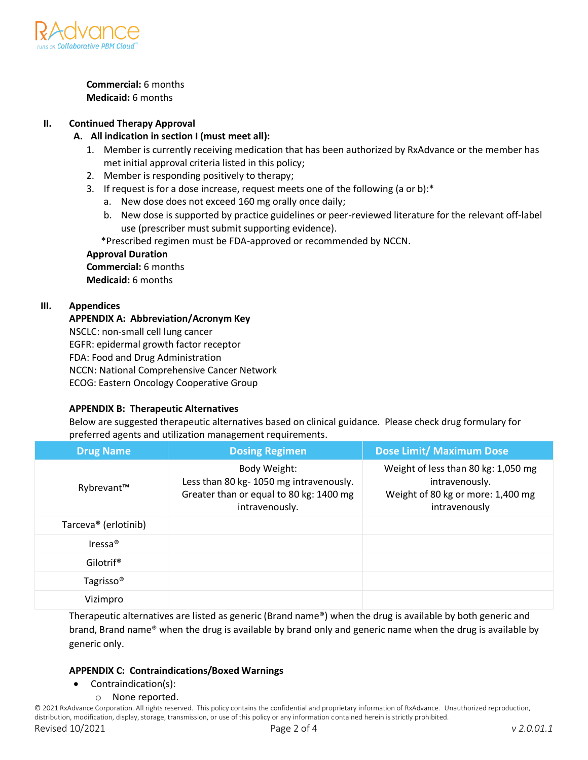

**Commercial:** 6 months **Medicaid:** 6 months

### **II. Continued Therapy Approval**

### **A. All indication in section I (must meet all):**

- 1. Member is currently receiving medication that has been authorized by RxAdvance or the member has met initial approval criteria listed in this policy;
- 2. Member is responding positively to therapy;
- 3. If request is for a dose increase, request meets one of the following (a or b):\*
	- a. New dose does not exceed 160 mg orally once daily;
	- b. New dose is supported by practice guidelines or peer-reviewed literature for the relevant off-label use (prescriber must submit supporting evidence).

\*Prescribed regimen must be FDA-approved or recommended by NCCN.

# **Approval Duration**

**Commercial:** 6 months **Medicaid:** 6 months

# **III. Appendices**

#### **APPENDIX A: Abbreviation/Acronym Key**

NSCLC: non-small cell lung cancer EGFR: epidermal growth factor receptor FDA: Food and Drug Administration NCCN: National Comprehensive Cancer Network ECOG: Eastern Oncology Cooperative Group

### **APPENDIX B: Therapeutic Alternatives**

Below are suggested therapeutic alternatives based on clinical guidance. Please check drug formulary for preferred agents and utilization management requirements.

| <b>Drug Name</b>                 | <b>Dosing Regimen</b>                                                                                               | <b>Dose Limit/ Maximum Dose</b>                                                                             |
|----------------------------------|---------------------------------------------------------------------------------------------------------------------|-------------------------------------------------------------------------------------------------------------|
| Rybrevant™                       | Body Weight:<br>Less than 80 kg-1050 mg intravenously.<br>Greater than or equal to 80 kg: 1400 mg<br>intravenously. | Weight of less than 80 kg: 1,050 mg<br>intravenously.<br>Weight of 80 kg or more: 1,400 mg<br>intravenously |
| Tarceva <sup>®</sup> (erlotinib) |                                                                                                                     |                                                                                                             |
| $Iressa^{\circledR}$             |                                                                                                                     |                                                                                                             |
| Gilotrif <sup>®</sup>            |                                                                                                                     |                                                                                                             |
| Tagrisso <sup>®</sup>            |                                                                                                                     |                                                                                                             |
| Vizimpro                         |                                                                                                                     |                                                                                                             |

Therapeutic alternatives are listed as generic (Brand name®) when the drug is available by both generic and brand, Brand name® when the drug is available by brand only and generic name when the drug is available by generic only.

### **APPENDIX C: Contraindications/Boxed Warnings**

- Contraindication(s):
	- o None reported.

© 2021 RxAdvance Corporation. All rights reserved. This policy contains the confidential and proprietary information of RxAdvance. Unauthorized reproduction, distribution, modification, display, storage, transmission, or use of this policy or any information contained herein is strictly prohibited. Revised 10/2021 Page 2 of 4 *v 2.0.01.1*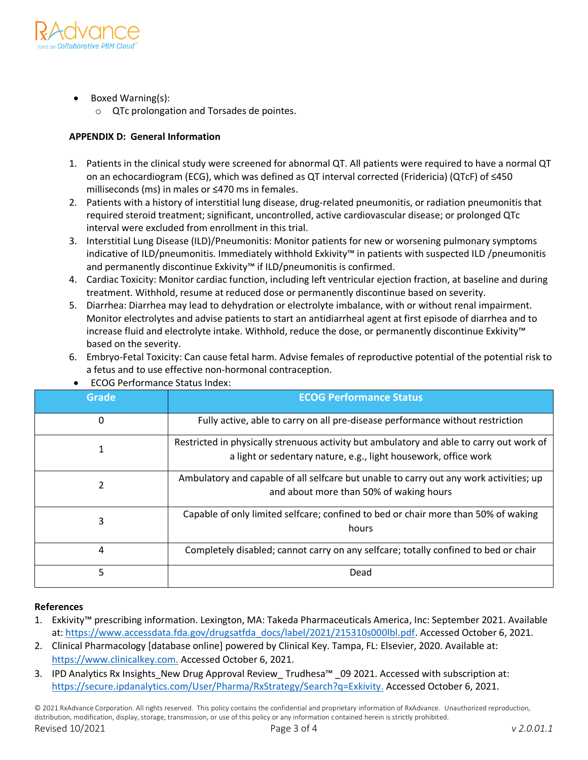

- Boxed Warning(s):
	- o QTc prolongation and Torsades de pointes.

### **APPENDIX D: General Information**

- 1. Patients in the clinical study were screened for abnormal QT. All patients were required to have a normal QT on an echocardiogram (ECG), which was defined as QT interval corrected (Fridericia) (QTcF) of ≤450 milliseconds (ms) in males or ≤470 ms in females.
- 2. Patients with a history of interstitial lung disease, drug-related pneumonitis, or radiation pneumonitis that required steroid treatment; significant, uncontrolled, active cardiovascular disease; or prolonged QTc interval were excluded from enrollment in this trial.
- 3. Interstitial Lung Disease (ILD)/Pneumonitis: Monitor patients for new or worsening pulmonary symptoms indicative of ILD/pneumonitis. Immediately withhold Exkivity™ in patients with suspected ILD /pneumonitis and permanently discontinue Exkivity™ if ILD/pneumonitis is confirmed.
- 4. Cardiac Toxicity: Monitor cardiac function, including left ventricular ejection fraction, at baseline and during treatment. Withhold, resume at reduced dose or permanently discontinue based on severity.
- 5. Diarrhea: Diarrhea may lead to dehydration or electrolyte imbalance, with or without renal impairment. Monitor electrolytes and advise patients to start an antidiarrheal agent at first episode of diarrhea and to increase fluid and electrolyte intake. Withhold, reduce the dose, or permanently discontinue Exkivity™ based on the severity.

6. Embryo-Fetal Toxicity: Can cause fetal harm. Advise females of reproductive potential of the potential risk to

| Grade | <b>ECOG Performance Status</b>                                                                                                                              |
|-------|-------------------------------------------------------------------------------------------------------------------------------------------------------------|
| 0     | Fully active, able to carry on all pre-disease performance without restriction                                                                              |
| 1     | Restricted in physically strenuous activity but ambulatory and able to carry out work of<br>a light or sedentary nature, e.g., light housework, office work |
| 2     | Ambulatory and capable of all selfcare but unable to carry out any work activities; up<br>and about more than 50% of waking hours                           |
| 3     | Capable of only limited selfcare; confined to bed or chair more than 50% of waking<br>hours                                                                 |
| 4     | Completely disabled; cannot carry on any selfcare; totally confined to bed or chair                                                                         |
| 5     | Dead                                                                                                                                                        |

ECOG Performance Status Index:

a fetus and to use effective non-hormonal contraception.

### **References**

- 1. Exkivity™ prescribing information. Lexington, MA: Takeda Pharmaceuticals America, Inc: September 2021. Available at: https://www.accessdata.fda.gov/drugsatfda\_docs/label/2021/215310s000lbl.pdf. Accessed October 6, 2021.
- 2. Clinical Pharmacology [database online] powered by Clinical Key. Tampa, FL: Elsevier, 2020. Available at: https://www.clinicalkey.com. Accessed October 6, 2021.
- 3. IPD Analytics Rx Insights\_New Drug Approval Review\_ Trudhesa™ \_09 2021. Accessed with subscription at: [https://secure.ipdanalytics.com/User/Pharma/RxStrategy/Search?q=Exkivity.](https://secure.ipdanalytics.com/User/Pharma/RxStrategy/Search?q=Exkivity) Accessed October 6, 2021.